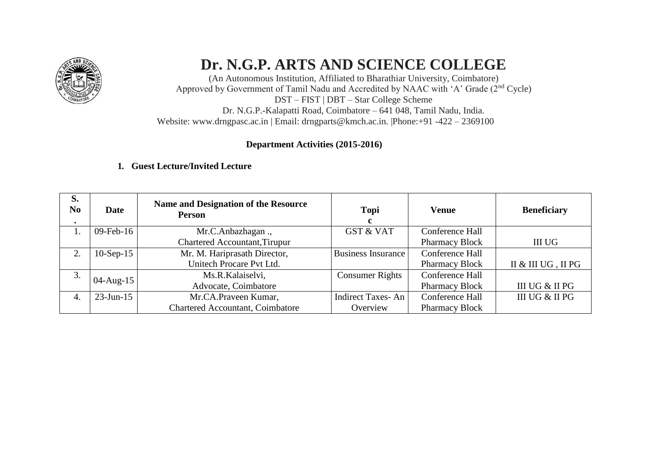

# **Dr. N.G.P. ARTS AND SCIENCE COLLEGE**

(An Autonomous Institution, Affiliated to Bharathiar University, Coimbatore) Approved by Government of Tamil Nadu and Accredited by NAAC with 'A' Grade (2nd Cycle) DST – FIST | DBT – Star College Scheme Dr. N.G.P.-Kalapatti Road, Coimbatore – 641 048, Tamil Nadu, India. Website: [www.drngpasc.ac.in |](http://www.drngpasc.ac.in/) Email: [drngparts@kmch.ac.in. |P](mailto:drngparts@kmch.ac.in)hone:+91 -422 – 2369100

# **Department Activities (2015-2016)**

# **1. Guest Lecture/Invited Lecture**

| S.<br>N <sub>0</sub><br>$\bullet$ | <b>Date</b>   | Name and Designation of the Resource<br><b>Person</b> | Topi<br>c                 | Venue                 | <b>Beneficiary</b> |
|-----------------------------------|---------------|-------------------------------------------------------|---------------------------|-----------------------|--------------------|
|                                   | $09$ -Feb-16  | Mr.C.Anbazhagan.,                                     | <b>GST &amp; VAT</b>      | Conference Hall       |                    |
|                                   |               | Chartered Accountant, Tirupur                         |                           | <b>Pharmacy Block</b> | III UG             |
|                                   | $10-Sep-15$   | Mr. M. Hariprasath Director,                          | <b>Business Insurance</b> | Conference Hall       |                    |
|                                   |               | Unitech Procare Pvt Ltd.                              |                           | <b>Pharmacy Block</b> | II & III UG, II PG |
| 3.                                | $04 - Aug-15$ | Ms.R.Kalaiselvi,                                      | <b>Consumer Rights</b>    | Conference Hall       |                    |
|                                   |               | Advocate, Coimbatore                                  |                           | <b>Pharmacy Block</b> | III UG & II PG     |
| 4.                                | $23$ -Jun-15  | Mr.CA.Praveen Kumar,                                  | Indirect Taxes-An         | Conference Hall       | III UG & II PG     |
|                                   |               | <b>Chartered Accountant, Coimbatore</b>               | Overview                  | <b>Pharmacy Block</b> |                    |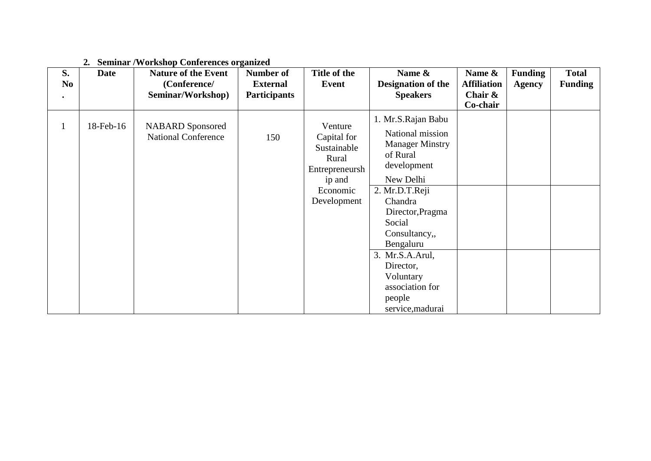#### **2. Seminar /Workshop Conferences organized**

| S.<br>N <sub>0</sub> | <b>Date</b> | <b>Nature of the Event</b><br>(Conference/            | <b>Number of</b><br><b>External</b> | Title of the<br>Event                                                                                 | Name &<br><b>Designation of the</b>                                                                                                                                                                                                           | Name &<br><b>Affiliation</b> | <b>Funding</b><br><b>Agency</b> | <b>Total</b><br><b>Funding</b> |
|----------------------|-------------|-------------------------------------------------------|-------------------------------------|-------------------------------------------------------------------------------------------------------|-----------------------------------------------------------------------------------------------------------------------------------------------------------------------------------------------------------------------------------------------|------------------------------|---------------------------------|--------------------------------|
|                      |             | Seminar/Workshop)                                     | <b>Participants</b>                 |                                                                                                       | <b>Speakers</b>                                                                                                                                                                                                                               | Chair $\&$                   |                                 |                                |
|                      |             |                                                       |                                     |                                                                                                       |                                                                                                                                                                                                                                               | Co-chair                     |                                 |                                |
| $\mathbf{1}$         | 18-Feb-16   | <b>NABARD</b> Sponsored<br><b>National Conference</b> | 150                                 | Venture<br>Capital for<br>Sustainable<br>Rural<br>Entrepreneursh<br>ip and<br>Economic<br>Development | 1. Mr.S.Rajan Babu<br>National mission<br><b>Manager Minstry</b><br>of Rural<br>development<br>New Delhi<br>2. Mr.D.T.Reji<br>Chandra<br>Director, Pragma<br>Social<br>Consultancy,<br>Bengaluru<br>3. Mr.S.A.Arul,<br>Director,<br>Voluntary |                              |                                 |                                |
|                      |             |                                                       |                                     |                                                                                                       | association for<br>people                                                                                                                                                                                                                     |                              |                                 |                                |
|                      |             |                                                       |                                     |                                                                                                       | service, madurai                                                                                                                                                                                                                              |                              |                                 |                                |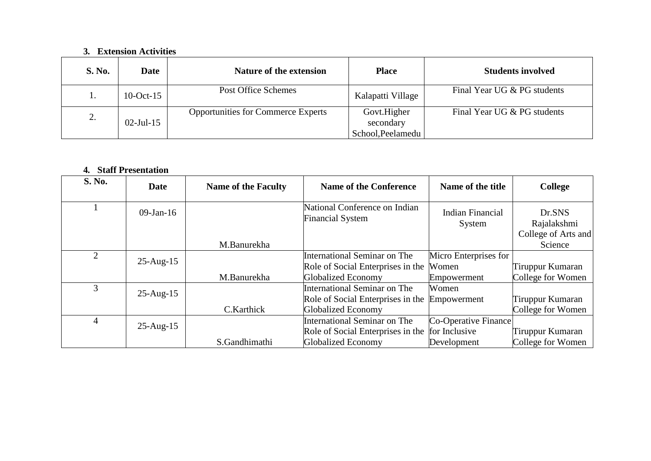#### **3. Extension Activities**

| <b>S. No.</b> | <b>Date</b>  | Nature of the extension                   | <b>Place</b>                                  | <b>Students involved</b>    |
|---------------|--------------|-------------------------------------------|-----------------------------------------------|-----------------------------|
| ı.            | $10$ -Oct-15 | Post Office Schemes                       | Kalapatti Village                             | Final Year UG & PG students |
| 2.            | $02$ -Jul-15 | <b>Opportunities for Commerce Experts</b> | Govt.Higher<br>secondary<br>School, Peelamedu | Final Year UG & PG students |

### **4. Staff Presentation**

| S. No. | Date         | <b>Name of the Faculty</b> | <b>Name of the Conference</b>                                                                 | Name of the title     | <b>College</b>                               |
|--------|--------------|----------------------------|-----------------------------------------------------------------------------------------------|-----------------------|----------------------------------------------|
|        | $09$ -Jan-16 |                            | National Conference on Indian<br><b>Indian Financial</b><br><b>Financial System</b><br>System |                       | Dr.SNS<br>Rajalakshmi<br>College of Arts and |
|        |              | M.Banurekha                |                                                                                               |                       | Science                                      |
| 2      |              |                            | International Seminar on The                                                                  | Micro Enterprises for |                                              |
|        | $25$ -Aug-15 |                            | Role of Social Enterprises in the                                                             | Women                 | Tiruppur Kumaran                             |
|        |              | M.Banurekha                | <b>Globalized Economy</b>                                                                     | Empowerment           | College for Women                            |
| 3      |              |                            | International Seminar on The                                                                  | Women                 |                                              |
|        | $25$ -Aug-15 |                            | Role of Social Enterprises in the                                                             | Empowerment           | Tiruppur Kumaran                             |
|        |              | C.Karthick                 | <b>Globalized Economy</b>                                                                     |                       | College for Women                            |
| 4      | $25$ -Aug-15 |                            | International Seminar on The                                                                  | Co-Operative Finance  |                                              |
|        |              |                            | Role of Social Enterprises in the                                                             | for Inclusive         | Tiruppur Kumaran                             |
|        |              | S.Gandhimathi              | <b>Globalized Economy</b>                                                                     | Development           | College for Women                            |